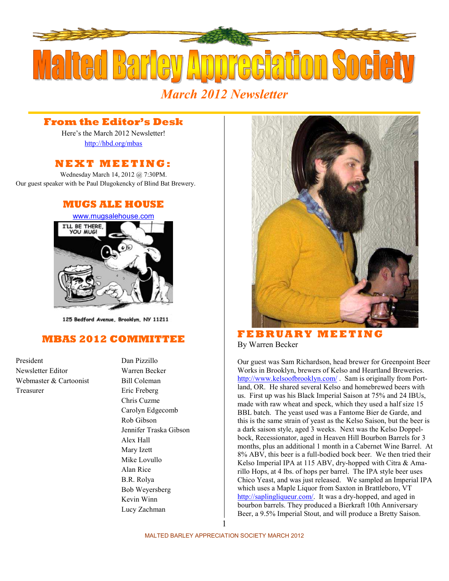

*March 2012 Newsletter* 

## **From the Editor's Desk**

Here's the March 2012 Newsletter! <http://hbd.org/mbas>

## **N E X T M E E T I N G :**

Wednesday March 14, 2012 @ 7:30PM. Our guest speaker with be Paul Dlugokencky of Blind Bat Brewery.

### **MUGS ALE HOUSE**



125 Bedford Avenue, Brooklyn, NY 11211

# **MBAS 2012 COMMITTEE**

President Dan Pizzillo Newsletter Editor Warren Becker Webmaster  $&$  Cartoonist Bill Coleman Treasurer Eric Freberg

Chris Cuzme Carolyn Edgecomb Rob Gibson Jennifer Traska Gibson Alex Hall Mary Izett Mike Lovullo Alan Rice B.R. Rolya Bob Weyersberg Kevin Winn Lucy Zachman



 $$ By Warren Becker

Our guest was Sam Richardson, head brewer for Greenpoint Beer Works in Brooklyn, brewers of Kelso and Heartland Breweries. [http://www.kelsoofbrooklyn.com/ .](http://www.kelsoofbrooklyn.com/) Sam is originally from Portland, OR. He shared several Kelso and homebrewed beers with us. First up was his Black Imperial Saison at 75% and 24 IBUs, made with raw wheat and speck, which they used a half size 15 BBL batch. The yeast used was a Fantome Bier de Garde, and this is the same strain of yeast as the Kelso Saison, but the beer is a dark saison style, aged 3 weeks. Next was the Kelso Doppelbock, Recessionator, aged in Heaven Hill Bourbon Barrels for 3 months, plus an additional 1 month in a Cabernet Wine Barrel. At 8% ABV, this beer is a full-bodied bock beer. We then tried their Kelso Imperial IPA at 115 ABV, dry-hopped with Citra & Amarillo Hops, at 4 lbs. of hops per barrel. The IPA style beer uses Chico Yeast, and was just released. We sampled an Imperial IPA which uses a Maple Liquor from Saxton in Brattleboro, VT [http://saplingliqueur.com/.](http://saplingliqueur.com/) It was a dry-hopped, and aged in bourbon barrels. They produced a Bierkraft 10th Anniversary Beer, a 9.5% Imperial Stout, and will produce a Bretty Saison.